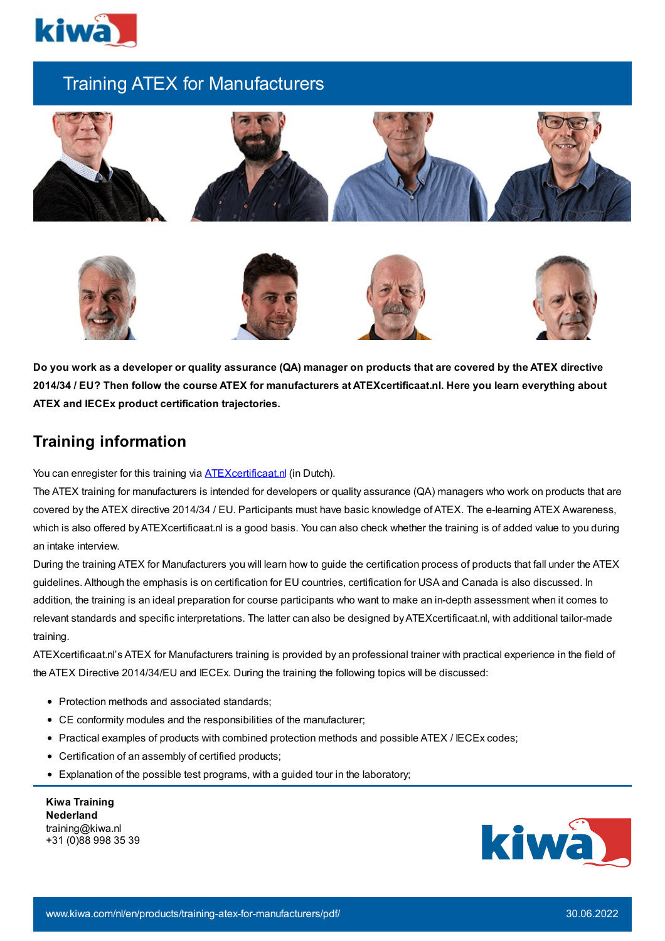

## Training ATEX for Manufacturers











Do you work as a developer or quality assurance (QA) manager on products that are covered by the ATEX directive 2014/34 / EU? Then follow the course ATEX for manufacturers at ATEXcertificaat.nl. Here you learn everything about **ATEX and IECEx product certification trajectories.**

## **Training information**

You can enregister for this training via **ATEX certificaat.nl** (in Dutch).

The ATEX training for manufacturers is intended for developers or quality assurance (QA) managers who work on products that are covered by the ATEX directive 2014/34 / EU. Participants must have basic knowledge of ATEX. The e-learning ATEX Awareness, which is also offered by ATEXcertificaat.nl is a good basis. You can also check whether the training is of added value to you during an intake interview.

During the training ATEX for Manufacturers you will learn how to guide the certification process of products that fall under the ATEX guidelines. Although the emphasis is on certification for EU countries, certification for USA and Canada is also discussed. In addition, the training is an ideal preparation for course participants who want to make an in-depth assessment when it comes to relevant standards and specific interpretations. The latter can also be designed byATEXcertificaat.nl, with additional tailor-made training.

ATEXcertificaat.nl's ATEX for Manufacturers training is provided by an professional trainer with practical experience in the field of the ATEX Directive 2014/34/EU and IECEx. During the training the following topics will be discussed:

- Protection methods and associated standards;
- CE conformity modules and the responsibilities of the manufacturer;
- Practical examples of products with combined protection methods and possible ATEX / IECEx codes;
- Certification of an assembly of certified products;
- Explanation of the possible test programs, with a guided tour in the laboratory;

**Kiwa Training Nederland** training@kiwa.nl +31 (0)88 998 35 39

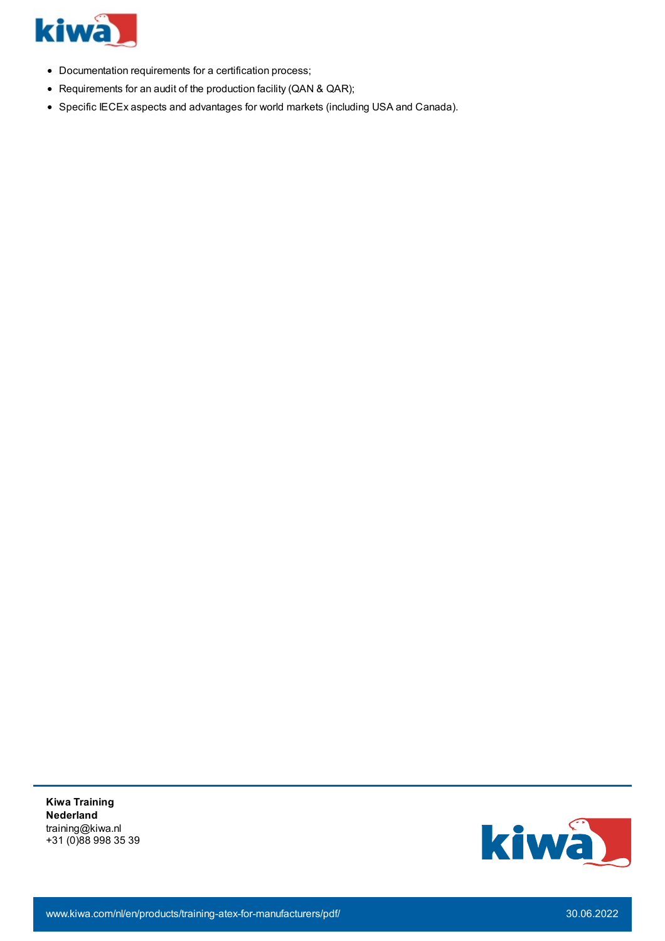

- Documentation requirements for a certification process;
- Requirements for an audit of the production facility (QAN & QAR);
- Specific IECEx aspects and advantages for world markets (including USA and Canada).

**Kiwa Training Nederland** training@kiwa.nl +31 (0)88 998 35 39

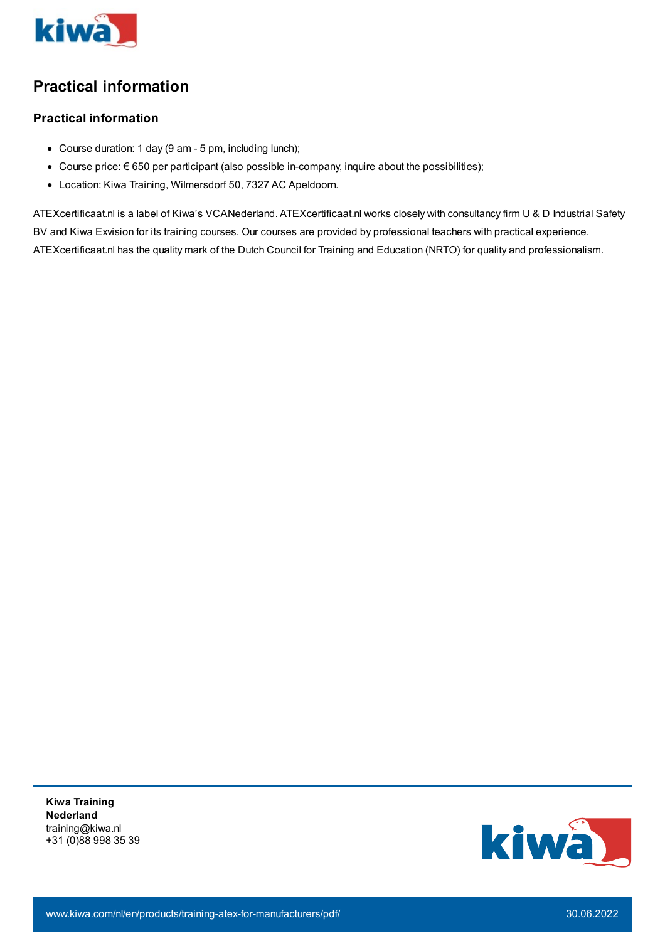

## **Practical information**

## **Practical information**

- Course duration: 1 day (9 am 5 pm, including lunch);
- $\bullet$  Course price: € 650 per participant (also possible in-company, inquire about the possibilities);
- Location: Kiwa Training, Wilmersdorf 50, 7327 AC Apeldoorn.

ATEXcertificaat.nl is a label of Kiwa's VCANederland. ATEXcertificaat.nl works closely with consultancy firm U & D Industrial Safety BV and Kiwa Exvision for its training courses. Our courses are provided by professional teachers with practical experience. ATEXcertificaat.nl has the quality mark of the Dutch Council for Training and Education (NRTO) for quality and professionalism.

**Kiwa Training Nederland** training@kiwa.nl +31 (0)88 998 35 39